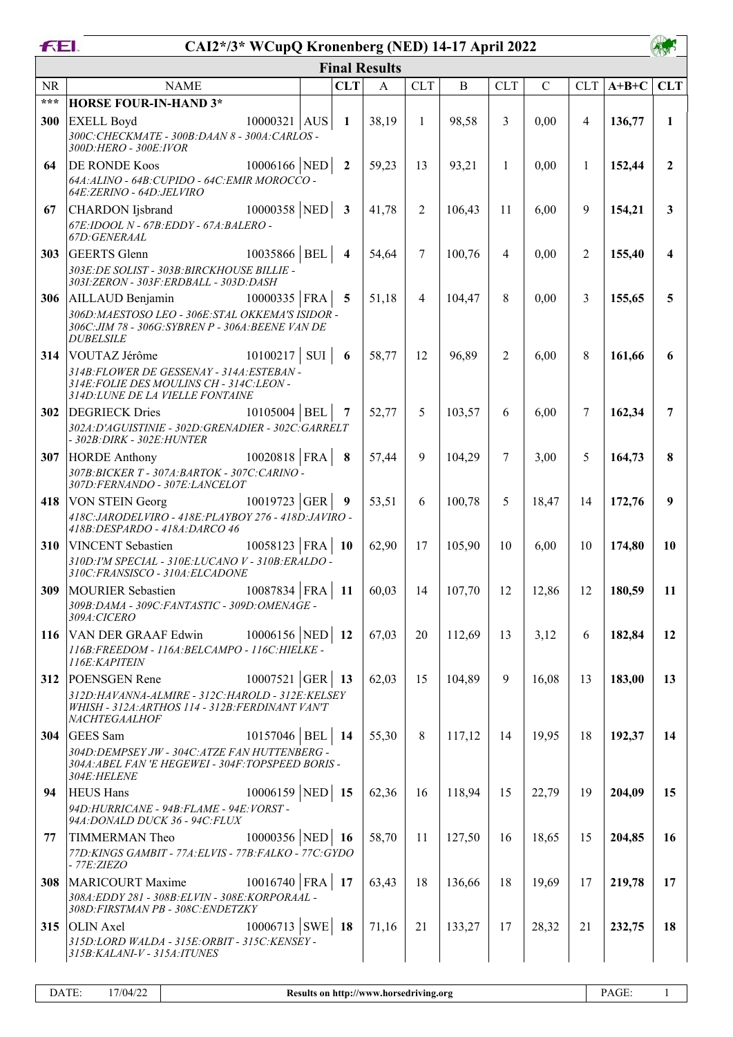| <b>FEI.</b> | CAI2*/3* WCupQ Kronenberg (NED) 14-17 April 2022                                                                                                                  |         |                          |                      |                |                  |                |               |                |         |                |
|-------------|-------------------------------------------------------------------------------------------------------------------------------------------------------------------|---------|--------------------------|----------------------|----------------|------------------|----------------|---------------|----------------|---------|----------------|
|             |                                                                                                                                                                   |         |                          | <b>Final Results</b> |                |                  |                |               |                |         |                |
| <b>NR</b>   | <b>NAME</b>                                                                                                                                                       |         | <b>CLT</b>               | A                    | <b>CLT</b>     | B                | <b>CLT</b>     | $\mathcal{C}$ | <b>CLT</b>     | $A+B+C$ | <b>CLT</b>     |
| ***         | <b>HORSE FOUR-IN-HAND 3*</b>                                                                                                                                      |         |                          |                      |                |                  |                |               |                |         |                |
| 300         | $10000321$ AUS<br><b>EXELL Boyd</b><br>300C: CHECKMATE - 300B: DAAN 8 - 300A: CARLOS -<br>300D: HERO - 300E: IVOR                                                 |         | $\mathbf{1}$             | 38,19                | $\mathbf{1}$   | 98,58            | 3              | 0,00          | $\overline{4}$ | 136,77  | $\mathbf{1}$   |
| 64          | $10006166$ NED 2<br><b>DE RONDE Koos</b><br>64A: ALINO - 64B: CUPIDO - 64C: EMIR MOROCCO -<br>64E: ZERINO - 64D: JELVIRO                                          |         |                          | 59,23                | 13             | 93,21            | 1              | 0,00          | $\mathbf{1}$   | 152,44  | $\overline{2}$ |
| 67          | $10000358$ NED 3<br><b>CHARDON</b> Ijsbrand<br>67E: IDOOL N - 67B: EDDY - 67A: BALERO -<br>67D: GENERAAL                                                          |         |                          | 41,78                | $\overline{2}$ | 106,43           | 11             | 6,00          | 9              | 154,21  | $\mathbf{3}$   |
| 303         | $10035866$ BEL 4<br>GEERTS Glenn<br>303E: DE SOLIST - 303B: BIRCKHOUSE BILLIE -<br>3031: ZERON - 303F: ERDBALL - 303D: DASH                                       |         |                          | 54,64                | $\tau$         | 100,76           | $\overline{4}$ | 0,00          | $\overline{2}$ | 155,40  | 4              |
| 306         | $10000335$ FRA<br>AILLAUD Benjamin<br>306D: MAESTOSO LEO - 306E: STAL OKKEMA'S ISIDOR -<br>306C: JIM 78 - 306G: SYBREN P - 306A: BEENE VAN DE<br><b>DUBELSILE</b> |         | 5                        | 51,18                | 4              | 104,47           | 8              | 0,00          | 3              | 155,65  | 5              |
| 314         | 10100217<br>VOUTAZ Jérôme<br>314B: FLOWER DE GESSENAY - 314A: ESTEBAN -<br>314E: FOLIE DES MOULINS CH - 314C: LEON -<br>314D: LUNE DE LA VIELLE FONTAINE          | $SUI$ 6 |                          | 58,77                | 12             | 96,89            | $\overline{2}$ | 6,00          | 8              | 161,66  | 6              |
| 302         | $10105004$ BEL<br><b>DEGRIECK Dries</b><br>302A:D'AGUISTINIE - 302D:GRENADIER - 302C:GARRELT<br>- 302B: DIRK - 302E: HUNTER                                       |         | - 7                      | 52,77                | 5              | 103,57           | 6              | 6,00          | 7              | 162,34  | 7              |
| 307         | $10020818$ FRA<br><b>HORDE</b> Anthony<br>307B: BICKER T - 307A: BARTOK - 307C: CARINO -<br>307D:FERNANDO - 307E:LANCELOT                                         |         | $\overline{\phantom{a}}$ | 57,44                | 9              | 104,29           | $\tau$         | 3,00          | 5              | 164,73  | 8              |
| 418         | 10019723 GER<br><b>VON STEIN Georg</b><br>418C: JARODELVIRO - 418E: PLAYBOY 276 - 418D: JAVIRO -<br>418B: DESPARDO - 418A: DARCO 46                               |         | $\overline{9}$           | 53,51                | 6              | 100,78           | 5              | 18,47         | 14             | 172,76  | 9              |
| <b>310</b>  | 10058123   FRA  <br><b>VINCENT</b> Sebastien<br>310D: I'M SPECIAL - 310E: LUCANO V - 310B: ERALDO -<br>310C:FRANSISCO - 310A:ELCADONE                             |         | $\vert$ 10               | 62,90                | 17             | 105,90           | 10             | 6,00          | 10             | 174,80  | 10             |
|             | <b>309</b>  MOURIER Sebastien $10087834$   FRA   11   60,03<br>309B: DAMA - 309C: FANTASTIC - 309D: OMENAGE -<br>309A:CICERO                                      |         |                          |                      |                | $14 \mid 107,70$ | 12             | 12,86         | 12             | 180,59  | -11            |
| 116         | $10006156$ NED 12<br>VAN DER GRAAF Edwin<br>116B: FREEDOM - 116A: BELCAMPO - 116C: HIELKE -<br>116E: KAPITEIN                                                     |         |                          | 67,03                | 20             | 112,69           | 13             | 3,12          | 6              | 182,84  | 12             |
| 312         | $10007521$ GER 13<br>POENSGEN Rene<br>312D:HAVANNA-ALMIRE - 312C:HAROLD - 312E:KELSEY<br>WHISH - 312A: ARTHOS 114 - 312B: FERDINANT VAN'T<br>NACHTEGAALHOF        |         |                          | 62,03                | 15             | 104,89           | 9              | 16,08         | 13             | 183,00  | 13             |
| <b>304</b>  | GEES Sam<br>10157046   BEL   14<br>304D: DEMPSEY JW - 304C: ATZE FAN HUTTENBERG -<br>304A: ABEL FAN 'E HEGEWEI - 304F: TOPSPEED BORIS -<br><i>304E:HELENE</i>     |         |                          | 55,30                | 8              | 117,12           | 14             | 19,95         | 18             | 192,37  | 14             |
| 94          | 10006159 NED 15<br><b>HEUS Hans</b><br>94D: HURRICANE - 94B: FLAME - 94E: VORST -<br>94A: DONALD DUCK 36 - 94C: FLUX                                              |         |                          | 62,36                | 16             | 118,94           | 15             | 22,79         | 19             | 204,09  | 15             |
| 77          | 10000356 NED 16<br>TIMMERMAN Theo<br>77D: KINGS GAMBIT - 77A: ELVIS - 77B: FALKO - 77C: GYDO<br><i>- 77E:ZIEZO</i>                                                |         |                          | 58,70                | 11             | 127,50           | 16             | 18,65         | 15             | 204,85  | 16             |
| 308         | $10016740$ FRA 17<br>MARICOURT Maxime<br>308A: EDDY 281 - 308B: ELVIN - 308E: KORPORAAL -<br>308D: FIRSTMAN PB - 308C: ENDETZKY                                   |         |                          | 63,43                | 18             | 136,66           | 18             | 19,69         | 17             | 219,78  | 17             |
| 315         | 10006713 SWE 18<br>OLIN Axel<br>315D:LORD WALDA - 315E:ORBIT - 315C:KENSEY -<br>315B: KALANI-V - 315A: ITUNES                                                     |         |                          | 71,16                | 21             | 133,27           | 17             | 28,32         | 21             | 232,75  | 18             |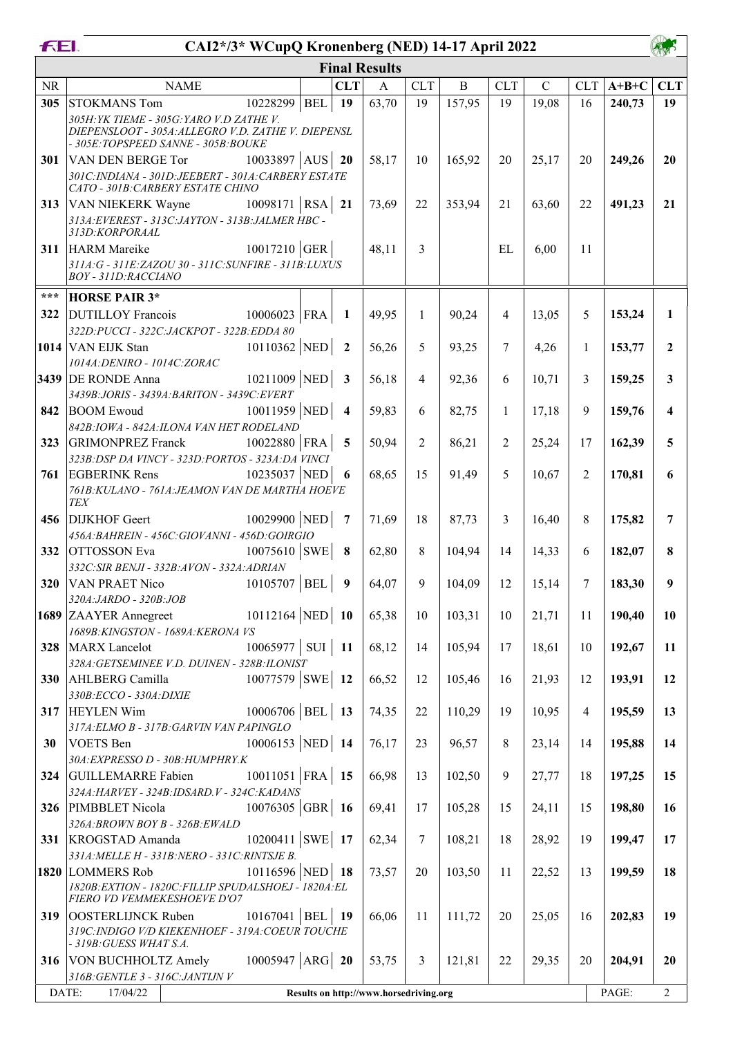| FEI.       | CAI2*/3* WCupQ Kronenberg (NED) 14-17 April 2022                                                                                     |            |                         |                                        |                |              |                |             |                |         |              |  |
|------------|--------------------------------------------------------------------------------------------------------------------------------------|------------|-------------------------|----------------------------------------|----------------|--------------|----------------|-------------|----------------|---------|--------------|--|
|            |                                                                                                                                      |            |                         | <b>Final Results</b>                   |                |              |                |             |                |         |              |  |
| <b>NR</b>  | <b>NAME</b>                                                                                                                          |            | <b>CLT</b>              | $\mathbf{A}$                           | <b>CLT</b>     | $\, {\bf B}$ | <b>CLT</b>     | $\mathbf C$ | <b>CLT</b>     | $A+B+C$ | <b>CLT</b>   |  |
| 305        | 10228299<br>STOKMANS Tom                                                                                                             | <b>BEL</b> | 19                      | 63,70                                  | 19             | 157,95       | 19             | 19,08       | 16             | 240,73  | 19           |  |
|            | 305H: YK TIEME - 305G: YARO V.D ZATHE V.<br>DIEPENSLOOT - 305A: ALLEGRO V.D. ZATHE V. DIEPENSL<br>- 305E:TOPSPEED SANNE - 305B:BOUKE |            |                         |                                        |                |              |                |             |                |         |              |  |
| 301        | $10033897$ AUS 20<br>VAN DEN BERGE Tor<br>301C:INDIANA - 301D:JEEBERT - 301A:CARBERY ESTATE                                          |            |                         | 58,17                                  | 10             | 165,92       | 20             | 25,17       | 20             | 249,26  | 20           |  |
|            | CATO - 301B: CARBERY ESTATE CHINO                                                                                                    |            |                         |                                        |                |              |                |             |                |         |              |  |
| 313        | VAN NIEKERK Wayne $10098171$ RSA<br>313A: EVEREST - 313C: JAYTON - 313B: JALMER HBC -<br>313D:KORPORAAL                              |            | 21                      | 73,69                                  | 22             | 353,94       | 21             | 63,60       | 22             | 491,23  | 21           |  |
| 311        | $10017210$ GER<br>HARM Mareike<br>311A:G - 311E:ZAZOU 30 - 311C:SUNFIRE - 311B:LUXUS<br>BOY - 311D:RACCIANO                          |            |                         | 48,11                                  | 3              |              | EL             | 6,00        | 11             |         |              |  |
| $***$      |                                                                                                                                      |            |                         |                                        |                |              |                |             |                |         |              |  |
| 322        | <b>HORSE PAIR 3*</b><br>$10006023$ FRA<br><b>DUTILLOY</b> Francois                                                                   |            | $\mathbf{1}$            | 49,95                                  | 1              | 90,24        | $\overline{4}$ | 13,05       | 5              | 153,24  | 1            |  |
|            | 322D: PUCCI - 322C: JACKPOT - 322B: EDDA 80                                                                                          |            |                         |                                        |                |              |                |             |                |         |              |  |
|            | $10110362$ NED<br>1014 VAN EIJK Stan                                                                                                 |            | $\overline{\mathbf{2}}$ | 56,26                                  | 5              | 93,25        | 7              | 4,26        | $\mathbf{1}$   | 153,77  | $\mathbf{2}$ |  |
|            | 1014A: DENIRO - 1014C: ZORAC                                                                                                         |            |                         |                                        |                |              |                |             |                |         |              |  |
|            | <b>3439</b> DE RONDE Anna $10211009$ NED<br>3439B:JORIS - 3439A:BARITON - 3439C:EVERT                                                |            | $\overline{\mathbf{3}}$ | 56,18                                  | $\overline{4}$ | 92,36        | 6              | 10,71       | 3              | 159,25  | 3            |  |
| 842        | $10011959$ NED<br><b>BOOM Ewoud</b>                                                                                                  |            | $\overline{4}$          | 59,83                                  | 6              | 82,75        | 1              | 17,18       | 9              | 159,76  | 4            |  |
|            | 842B: IOWA - 842A: ILONA VAN HET RODELAND                                                                                            |            |                         |                                        |                |              |                |             |                |         |              |  |
| 323        | $10022880$ FRA<br><b>GRIMONPREZ</b> Franck                                                                                           |            | 5                       | 50,94                                  | $\overline{2}$ | 86,21        | 2              | 25,24       | 17             | 162,39  | 5            |  |
|            | 323B: DSP DA VINCY - 323D: PORTOS - 323A: DA VINCI                                                                                   |            |                         |                                        |                |              |                |             |                |         |              |  |
| 761        | 10235037 NED<br><b>EGBERINK Rens</b><br>761B: KULANO - 761A: JEAMON VAN DE MARTHA HOEVE<br>TEX                                       |            | 6                       | 68,65                                  | 15             | 91,49        | 5              | 10,67       | $\overline{2}$ | 170,81  | 6            |  |
| 456        | 10029900 NED 7<br>DIJKHOF Geert                                                                                                      |            |                         | 71,69                                  | 18             | 87,73        | 3              | 16,40       | 8              | 175,82  | 7            |  |
|            | 456A: BAHREIN - 456C: GIOVANNI - 456D: GOIRGIO                                                                                       |            |                         |                                        |                |              |                |             |                |         |              |  |
| 332        | $10075610$ SWE 8<br><b>OTTOSSON</b> Eva<br>332C: SIR BENJI - 332B: AVON - 332A: ADRIAN                                               |            |                         | 62,80                                  | 8              | 104,94       | 14             | 14,33       | 6              | 182,07  | 8            |  |
| <b>320</b> | $10105707$ BEL<br>VAN PRAET Nico                                                                                                     |            | 9                       | 64,07                                  | 9              | 104.09       | 12             | 15,14       | 7              | 183,30  | 9            |  |
|            | 320A:JARDO - 320B:JOB<br>$10112164$ NED 10<br>1689 ZAAYER Annegreet                                                                  |            |                         | 65,38                                  | 10             | 103,31       | 10             | 21,71       | 11             | 190,40  | 10           |  |
|            | 1689B: KINGSTON - 1689A: KERONA VS<br>$10065977$ SUI 11                                                                              |            |                         | 68,12                                  |                |              |                |             |                |         |              |  |
| 328        | MARX Lancelot<br>328A: GETSEMINEE V.D. DUINEN - 328B: ILONIST                                                                        |            |                         |                                        | 14             | 105,94       | 17             | 18,61       | 10             | 192,67  | 11           |  |
| 330        | $10077579$ SWE 12<br>AHLBERG Camilla<br>330B:ECCO - 330A: DIXIE                                                                      |            |                         | 66,52                                  | 12             | 105,46       | 16             | 21,93       | 12             | 193,91  | 12           |  |
| 317        | $10006706$ BEL<br><b>HEYLEN Wim</b>                                                                                                  |            | 13                      | 74,35                                  | 22             | 110,29       | 19             | 10,95       | $\overline{4}$ | 195,59  | 13           |  |
| 30         | 317A: ELMO B - 317B: GARVIN VAN PAPINGLO<br>10006153 NED 14<br><b>VOETS</b> Ben                                                      |            |                         | 76,17                                  | 23             | 96,57        | 8              | 23,14       | 14             | 195,88  | 14           |  |
| 324        | 30A: EXPRESSO D - 30B: HUMPHRY.K<br>$10011051$ FRA<br>GUILLEMARRE Fabien                                                             |            | 15                      | 66,98                                  | 13             | 102,50       | 9              | 27,77       | 18             | 197,25  | 15           |  |
| 326        | 324A: HARVEY - 324B: IDSARD. V - 324C: KADANS<br>$10076305$ GBR 16<br>PIMBBLET Nicola                                                |            |                         | 69,41                                  | 17             | 105,28       | 15             | 24,11       | 15             | 198,80  | 16           |  |
|            | 326A:BROWN BOY B - 326B:EWALD                                                                                                        |            |                         |                                        |                |              |                |             |                |         |              |  |
| 331        | 10200411 SWE 17<br>KROGSTAD Amanda<br>331A: MELLE H - 331B: NERO - 331C: RINTSJE B.                                                  |            |                         | 62,34                                  | 7              | 108,21       | 18             | 28,92       | 19             | 199,47  | 17           |  |
|            | 10116596 NED 18<br>1820 LOMMERS Rob                                                                                                  |            |                         | 73,57                                  | 20             | 103,50       | 11             | 22,52       | 13             | 199,59  | 18           |  |
|            | 1820B: EXTION - 1820C: FILLIP SPUDALSHOEJ - 1820A: EL<br>FIERO VD VEMMEKESHOEVE D'O7                                                 |            |                         |                                        |                |              |                |             |                |         |              |  |
| 319        | $10167041$ BEL<br>OOSTERLIJNCK Ruben                                                                                                 |            | - 19                    | 66,06                                  | 11             | 111,72       | 20             | 25,05       | 16             | 202,83  | 19           |  |
|            | 319C: INDIGO V/D KIEKENHOEF - 319A: COEUR TOUCHE<br>- 319B: GUESS WHAT S.A.                                                          |            |                         |                                        |                |              |                |             |                |         |              |  |
| 316        | VON BUCHHOLTZ Amely $10005947$ ARG 20                                                                                                |            |                         | 53,75                                  | 3              | 121,81       | 22             | 29,35       | 20             | 204,91  | 20           |  |
|            | 316B: GENTLE 3 - 316C: JANTIJN V                                                                                                     |            |                         |                                        |                |              |                |             |                |         |              |  |
|            | DATE:<br>17/04/22                                                                                                                    |            |                         | Results on http://www.horsedriving.org |                |              |                |             |                | PAGE:   | 2            |  |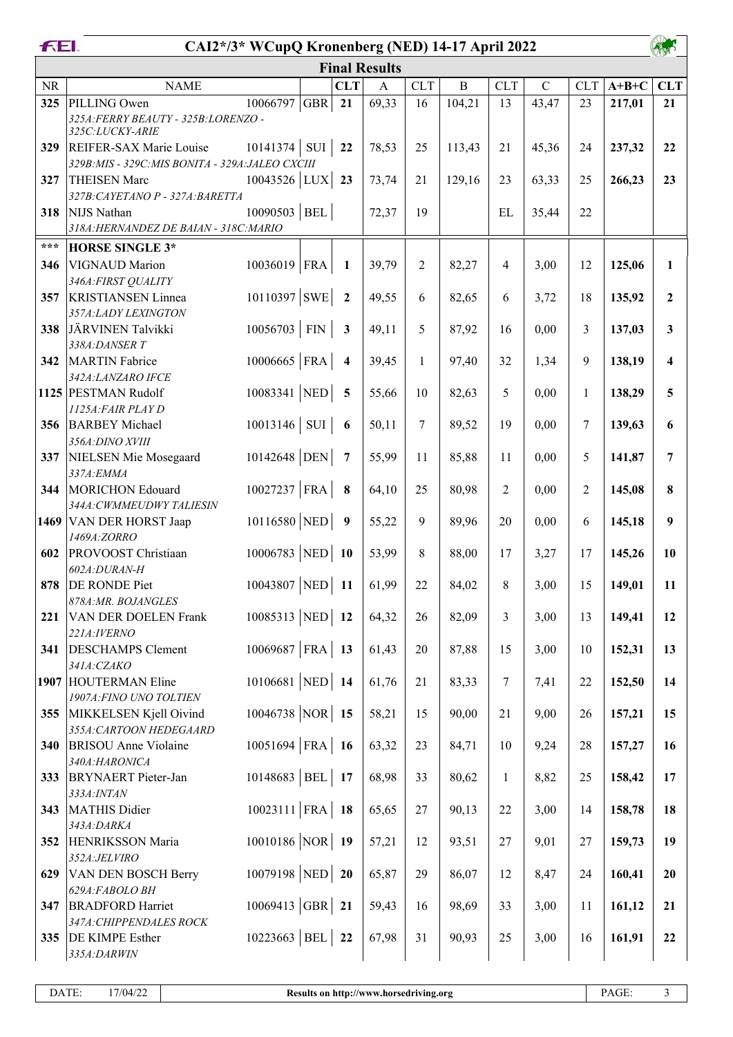| FEI.       | CAI2*/3* WCupQ Kronenberg (NED) 14-17 April 2022                                          |                   |     |                          |                      |                |              |                |             |                |         |              |
|------------|-------------------------------------------------------------------------------------------|-------------------|-----|--------------------------|----------------------|----------------|--------------|----------------|-------------|----------------|---------|--------------|
|            |                                                                                           |                   |     |                          | <b>Final Results</b> |                |              |                |             |                |         |              |
| <b>NR</b>  | <b>NAME</b>                                                                               |                   |     | <b>CLT</b>               | $\mathbf{A}$         | <b>CLT</b>     | $\, {\bf B}$ | CLT            | $\mathbf C$ | <b>CLT</b>     | $A+B+C$ | <b>CLT</b>   |
| 325        | PILLING Owen<br>325A: FERRY BEAUTY - 325B: LORENZO -<br>325C:LUCKY-ARIE                   | 10066797          | GBR | 21                       | 69,33                | 16             | 104,21       | 13             | 43,47       | 23             | 217,01  | 21           |
| 329        | REIFER-SAX Marie Louise<br>329B: MIS - 329C: MIS BONITA - 329A: JALEO CXCIII              | 10141374          | SUI | 22                       | 78,53                | 25             | 113,43       | 21             | 45,36       | 24             | 237,32  | 22           |
| 327        | <b>THEISEN Marc</b>                                                                       | $10043526$ LUX    |     | 23                       | 73,74                | 21             | 129,16       | 23             | 63,33       | 25             | 266,23  | 23           |
| 318        | 327B: CAYETANO P - 327A: BARETTA<br>NIJS Nathan<br>318A: HERNANDEZ DE BAIAN - 318C: MARIO | $10090503$ BEL    |     |                          | 72,37                | 19             |              | EL             | 35,44       | 22             |         |              |
| $***$      | <b>HORSE SINGLE 3*</b>                                                                    |                   |     |                          |                      |                |              |                |             |                |         |              |
| 346        | VIGNAUD Marion<br>346A: FIRST QUALITY                                                     | 10036019 FRA      |     | 1                        | 39,79                | $\overline{2}$ | 82,27        | $\overline{4}$ | 3,00        | 12             | 125,06  | $\mathbf{1}$ |
| 357        | <b>KRISTIANSEN Linnea</b><br>357A:LADY LEXINGTON                                          | 10110397 SWE      |     | $\overline{\mathbf{2}}$  | 49,55                | 6              | 82,65        | 6              | 3,72        | 18             | 135,92  | $\mathbf{2}$ |
| 338        | JÄRVINEN Talvikki<br>338A:DANSER T                                                        | $10056703$ FIN    |     | $\overline{\mathbf{3}}$  | 49,11                | 5              | 87,92        | 16             | 0,00        | 3              | 137,03  | 3            |
| 342        | MARTIN Fabrice                                                                            | $10006665$ FRA    |     | $\overline{\mathbf{4}}$  | 39,45                | $\mathbf{1}$   | 97,40        | 32             | 1,34        | 9              | 138,19  | 4            |
|            | 342A:LANZARO IFCE<br>1125 PESTMAN Rudolf                                                  | $10083341$ NED 5  |     |                          | 55,66                | 10             | 82,63        | 5              | 0,00        | $\mathbf{1}$   | 138,29  | 5            |
| 356        | 1125A: FAIR PLAY D<br><b>BARBEY</b> Michael                                               | $10013146$ SUI    |     | $\overline{\phantom{a}}$ | 50,11                | 7              | 89,52        | 19             | 0,00        | 7              | 139,63  | 6            |
| 337        | 356A: DINO XVIII<br>NIELSEN Mie Mosegaard                                                 | 10142648 DEN      |     | $\overline{7}$           | 55,99                | 11             | 85,88        | 11             | 0,00        | 5              | 141,87  | 7            |
| 344        | 337A: EMMA<br>MORICHON Edouard                                                            | 10027237 FRA      |     | 8                        | 64,10                | 25             | 80,98        | $\overline{2}$ | 0,00        | $\overline{2}$ | 145,08  | 8            |
|            | 344A: CWMMEUDWY TALIESIN<br>1469 VAN DER HORST Jaap                                       | 10116580 NED      |     | $\overline{\mathbf{9}}$  | 55,22                | 9              | 89,96        | 20             | 0,00        | 6              | 145,18  | 9            |
| 602        | 1469A:ZORRO<br><b>PROVOOST</b> Christiaan                                                 | $10006783$ NED 10 |     |                          | 53,99                | 8              | 88,00        | 17             | 3,27        | 17             | 145,26  | 10           |
| 878        | 602A:DURAN-H<br><b>DE RONDE Piet</b>                                                      | 10043807 NED 11   |     |                          | 61,99                | 22             | 84,02        | 8              | 3,00        | 15             | 149,01  | 11           |
| 221        | 878A:MR. BOJANGLES<br><b>VAN DER DOELEN Frank</b>                                         | 10085313 NED 12   |     |                          | 64,32                | 26             | 82,09        | $\overline{3}$ | 3,00        | 13             | 149,41  | 12           |
| 341        | 221A: IVERNO<br><b>DESCHAMPS</b> Clement                                                  | $10069687$ FRA 13 |     |                          | 61,43                | 20             | 87,88        | 15             | 3,00        | 10             | 152,31  | 13           |
|            | 341A:CZAKO<br>1907 HOUTERMAN Eline                                                        | $10106681$ NED 14 |     |                          | 61,76                | 21             | 83,33        | $\tau$         | 7,41        | 22             | 152,50  | 14           |
|            | 1907A: FINO UNO TOLTIEN                                                                   | $10046738$ NOR 15 |     |                          |                      |                |              |                |             |                |         |              |
| 355        | MIKKELSEN Kjell Oivind<br>355A: CARTOON HEDEGAARD                                         |                   |     |                          | 58,21                | 15             | 90,00        | 21             | 9,00        | 26             | 157,21  | 15           |
| <b>340</b> | <b>BRISOU</b> Anne Violaine<br>340A:HARONICA                                              | $10051694$ FRA 16 |     |                          | 63,32                | 23             | 84,71        | 10             | 9,24        | 28             | 157,27  | 16           |
| 333        | <b>BRYNAERT</b> Pieter-Jan<br>333A: INTAN                                                 | 10148683 BEL 17   |     |                          | 68,98                | 33             | 80,62        | $\mathbf{1}$   | 8,82        | 25             | 158,42  | 17           |
| 343        | MATHIS Didier<br>343A:DARKA                                                               | $10023111$ FRA 18 |     |                          | 65,65                | $27\,$         | 90,13        | 22             | 3,00        | 14             | 158,78  | 18           |
| 352        | HENRIKSSON Maria<br>352A:JELVIRO                                                          | $10010186$ NOR 19 |     |                          | 57,21                | 12             | 93,51        | 27             | 9,01        | 27             | 159,73  | 19           |
| 629        | <b>VAN DEN BOSCH Berry</b><br>629A:FABOLO BH                                              | $10079198$ NED 20 |     |                          | 65,87                | 29             | 86,07        | 12             | 8,47        | 24             | 160,41  | 20           |
| 347        | <b>BRADFORD Harriet</b><br>347A: CHIPPENDALES ROCK                                        | $10069413$ GBR 21 |     |                          | 59,43                | 16             | 98,69        | 33             | 3,00        | 11             | 161,12  | 21           |
| 335        | <b>DE KIMPE Esther</b><br>335A:DARWIN                                                     | $10223663$ BEL    |     | 22                       | 67,98                | 31             | 90,93        | 25             | 3,00        | 16             | 161,91  | 22           |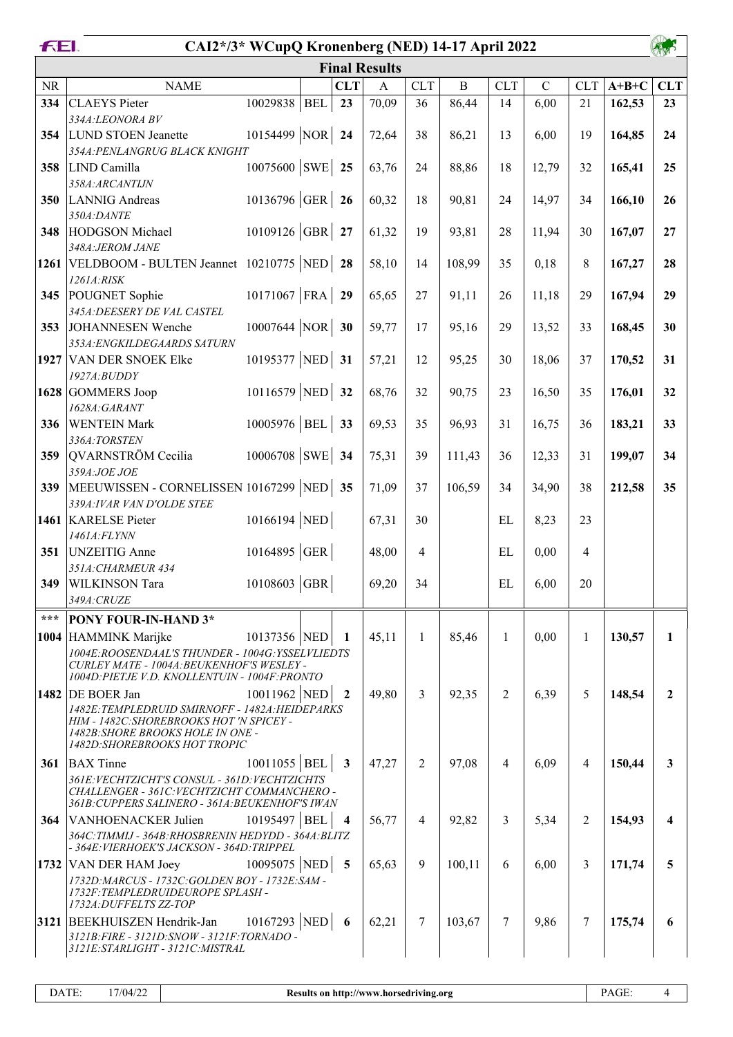| FEI.     | CAI2*/3* WCupQ Kronenberg (NED) 14-17 April 2022                                                                                                                  |                         |                      |                |              |                |                |                |         |              |
|----------|-------------------------------------------------------------------------------------------------------------------------------------------------------------------|-------------------------|----------------------|----------------|--------------|----------------|----------------|----------------|---------|--------------|
|          |                                                                                                                                                                   |                         | <b>Final Results</b> |                |              |                |                |                |         |              |
| $\rm NR$ | <b>NAME</b>                                                                                                                                                       | <b>CLT</b>              | $\mathbf{A}$         | <b>CLT</b>     | $\, {\bf B}$ | <b>CLT</b>     | $\overline{C}$ | <b>CLT</b>     | $A+B+C$ | <b>CLT</b>   |
| 334      | 10029838 BEL<br><b>CLAEYS</b> Pieter                                                                                                                              | 23                      | 70,09                | 36             | 86,44        | 14             | 6,00           | 21             | 162,53  | 23           |
| 354      | 334A:LEONORA BV<br>10154499 NOR 24<br><b>LUND STOEN Jeanette</b>                                                                                                  |                         | 72,64                | 38             | 86,21        | 13             | 6,00           | 19             | 164,85  | 24           |
| 358      | 354A: PENLANGRUG BLACK KNIGHT<br>$10075600$ SWE 25<br>LIND Camilla                                                                                                |                         | 63,76                | 24             | 88,86        | 18             | 12,79          | 32             | 165,41  | 25           |
| 350      | 358A:ARCANTIJN<br>10136796 GER 26<br>LANNIG Andreas                                                                                                               |                         | 60,32                | 18             | 90,81        | 24             | 14,97          | 34             | 166,10  | 26           |
| 348      | 350A:DANTE<br>10109126 GBR 27<br>HODGSON Michael                                                                                                                  |                         | 61,32                | 19             | 93,81        | 28             | 11,94          | 30             | 167,07  | 27           |
|          | 348A: JEROM JANE                                                                                                                                                  |                         | 58,10                | 14             | 108,99       |                |                | 8              |         | 28           |
|          | 1261   VELDBOOM - BULTEN Jeannet 10210775   NED   28<br>1261A:RISK                                                                                                |                         |                      |                |              | 35             | 0,18           |                | 167,27  |              |
| 345      | $10171067$ FRA 29<br>POUGNET Sophie<br>345A: DEESERY DE VAL CASTEL                                                                                                |                         | 65,65                | 27             | 91,11        | 26             | 11,18          | 29             | 167,94  | 29           |
| 353      | $10007644$ NOR 30<br>JOHANNESEN Wenche<br>353A: ENGKILDEGAARDS SATURN                                                                                             |                         | 59,77                | 17             | 95,16        | 29             | 13,52          | 33             | 168,45  | 30           |
|          | 10195377 NED 31<br>1927 VAN DER SNOEK Elke<br>1927A:BUDDY                                                                                                         |                         | 57,21                | 12             | 95,25        | 30             | 18,06          | 37             | 170,52  | 31           |
|          | 10116579 NED 32<br>1628 GOMMERS Joop                                                                                                                              |                         | 68,76                | 32             | 90,75        | 23             | 16,50          | 35             | 176,01  | 32           |
| 336      | 1628A:GARANT<br>$10005976$ BEL 33<br><b>WENTEIN Mark</b>                                                                                                          |                         | 69,53                | 35             | 96,93        | 31             | 16,75          | 36             | 183,21  | 33           |
| 359      | 336A:TORSTEN<br>$10006708$ SWE 34<br>QVARNSTRÖM Cecilia                                                                                                           |                         | 75,31                | 39             | 111,43       | 36             | 12,33          | 31             | 199,07  | 34           |
| 339      | 359A:JOE JOE<br>MEEUWISSEN - CORNELISSEN 10167299  NED   35                                                                                                       |                         | 71,09                | 37             | 106,59       | 34             | 34,90          | 38             | 212,58  | 35           |
|          | 339A: IVAR VAN D'OLDE STEE                                                                                                                                        |                         |                      |                |              |                |                |                |         |              |
|          | $10166194$ NED<br>1461 KARELSE Pieter<br>1461A:FLYNN                                                                                                              |                         | 67,31                | 30             |              | EL             | 8,23           | 23             |         |              |
| 351      | 10164895 GER<br>UNZEITIG Anne<br>351A: CHARMEUR 434                                                                                                               |                         | 48,00                | $\overline{4}$ |              | EL             | 0,00           | $\overline{4}$ |         |              |
|          | 10108603 GBR<br>349 WILKINSON Tara<br>349A: CRUZE                                                                                                                 |                         | 69,20                | 34             |              | EL             | 6,00           | 20             |         |              |
| ***      | PONY FOUR-IN-HAND 3*                                                                                                                                              |                         |                      |                |              |                |                |                |         |              |
|          | 1004 HAMMINK Marijke<br>10137356 NED                                                                                                                              | -1                      | 45,11                | $\mathbf{1}$   | 85,46        | 1              | 0,00           | 1              | 130,57  | $\mathbf{1}$ |
|          | 1004E:ROOSENDAAL'S THUNDER - 1004G:YSSELVLIEDTS<br>CURLEY MATE - 1004A: BEUKENHOF'S WESLEY -<br>1004D: PIETJE V.D. KNOLLENTUIN - 1004F: PRONTO                    |                         |                      |                |              |                |                |                |         |              |
|          | 10011962 NED<br>1482 DE BOER Jan                                                                                                                                  | $\overline{2}$          | 49,80                | 3              | 92,35        | $\overline{2}$ | 6,39           | 5              | 148,54  | $\mathbf{2}$ |
|          | 1482E: TEMPLEDRUID SMIRNOFF - 1482A: HEIDEPARKS<br>HIM - 1482C: SHOREBROOKS HOT 'N SPICEY -<br>1482B: SHORE BROOKS HOLE IN ONE -<br>1482D: SHOREBROOKS HOT TROPIC |                         |                      |                |              |                |                |                |         |              |
| 361      | $10011055$ BEL<br><b>BAX</b> Tinne                                                                                                                                | $\overline{\mathbf{3}}$ | 47,27                | $\overline{2}$ | 97,08        | 4              | 6,09           | 4              | 150,44  | 3            |
|          | 361E: VECHTZICHT'S CONSUL - 361D: VECHTZICHTS<br>CHALLENGER - 361C: VECHTZICHT COMMANCHERO -<br>361B: CUPPERS SALINERO - 361A: BEUKENHOF'S IWAN                   |                         |                      |                |              |                |                |                |         |              |
| 364      | 10195497 BEL<br>VANHOENACKER Julien<br>364C: TIMMIJ - 364B: RHOSBRENIN HEDYDD - 364A: BLITZ                                                                       | $\overline{\mathbf{4}}$ | 56,77                | $\overline{4}$ | 92,82        | 3              | 5,34           | 2              | 154,93  |              |
|          | - 364E: VIERHOEK'S JACKSON - 364D: TRIPPEL                                                                                                                        |                         |                      |                |              |                |                |                |         |              |
| 1732     | 10095075 NED 5<br>VAN DER HAM Joey<br>1732D: MARCUS - 1732C: GOLDEN BOY - 1732E: SAM -                                                                            |                         | 65,63                | 9              | 100,11       | 6              | 6,00           | 3              | 171,74  | 5            |
|          | 1732F:TEMPLEDRUIDEUROPE SPLASH -<br>1732A: DUFFELTS ZZ-TOP                                                                                                        |                         |                      |                |              |                |                |                |         |              |
|          | 10167293 NED 6<br>3121 BEEKHUISZEN Hendrik-Jan<br>3121B: FIRE - 3121D: SNOW - 3121F: TORNADO -<br>3121E:STARLIGHT - 3121C:MISTRAL                                 |                         | 62,21                | $\overline{7}$ | 103,67       | 7              | 9,86           | 7              | 175,74  | 6            |
|          |                                                                                                                                                                   |                         |                      |                |              |                |                |                |         |              |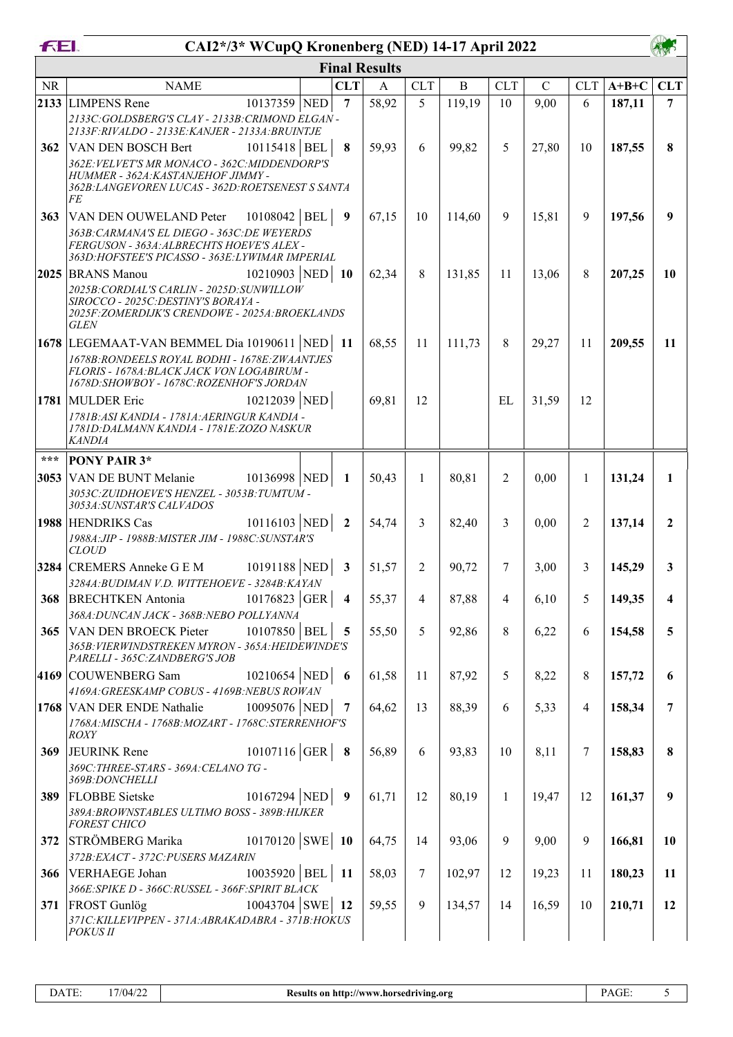| FEI.      | CAI2*/3* WCupQ Kronenberg (NED) 14-17 April 2022                                                                                                                                                                                            |                         |                      |                |             |            |               |                |         |                  |
|-----------|---------------------------------------------------------------------------------------------------------------------------------------------------------------------------------------------------------------------------------------------|-------------------------|----------------------|----------------|-------------|------------|---------------|----------------|---------|------------------|
|           |                                                                                                                                                                                                                                             |                         | <b>Final Results</b> |                |             |            |               |                |         |                  |
| <b>NR</b> | <b>NAME</b>                                                                                                                                                                                                                                 | <b>CLT</b>              | $\mathbf{A}$         | <b>CLT</b>     | $\mathbf B$ | <b>CLT</b> | $\mathcal{C}$ | <b>CLT</b>     | $A+B+C$ | <b>CLT</b>       |
|           | 2133 LIMPENS Rene<br>10137359 NED<br>2133C:GOLDSBERG'S CLAY - 2133B: CRIMOND ELGAN -<br>2133F:RIVALDO - 2133E:KANJER - 2133A:BRUINTJE                                                                                                       | $\overline{7}$          | 58,92                | 5              | 119,19      | 10         | 9,00          | 6              | 187,11  | $\overline{7}$   |
| 362       | 10115418 BEL<br>VAN DEN BOSCH Bert<br>362E: VELVET'S MR MONACO - 362C: MIDDENDORP'S<br>HUMMER - 362A: KASTANJEHOF JIMMY -<br>362B: LANGEVOREN LUCAS - 362D: ROETSENEST S SANTA<br>FE                                                        | 8                       | 59,93                | 6              | 99,82       | 5          | 27,80         | 10             | 187,55  | 8                |
| 363       | $10108042$ BEL<br>VAN DEN OUWELAND Peter<br>363B: CARMANA'S EL DIEGO - 363C: DE WEYERDS<br>FERGUSON - 363A: ALBRECHTS HOEVE'S ALEX-                                                                                                         | 9                       | 67,15                | 10             | 114,60      | 9          | 15,81         | 9              | 197,56  | $\boldsymbol{9}$ |
|           | 363D: HOFSTEE'S PICASSO - 363E: LYWIMAR IMPERIAL<br>10210903 NED<br>2025 BRANS Manou<br>2025B: CORDIAL'S CARLIN - 2025D: SUNWILLOW<br>SIROCCO - 2025C: DESTINY'S BORAYA -<br>2025F: ZOMERDIJK'S CRENDOWE - 2025A: BROEKLANDS<br><b>GLEN</b> | - 10                    | 62,34                | 8              | 131,85      | 11         | 13,06         | 8              | 207,25  | 10               |
|           | 1678 LEGEMAAT-VAN BEMMEL Dia 10190611 NED<br>1678B: RONDEELS ROYAL BODHI - 1678E: ZWAANTJES<br>FLORIS - 1678A: BLACK JACK VON LOGABIRUM -<br>1678D:SHOWBOY - 1678C:ROZENHOF'S JORDAN                                                        | - 11                    | 68,55                | 11             | 111,73      | 8          | 29,27         | 11             | 209,55  | 11               |
|           | 10212039 NED<br>1781 MULDER Eric<br>1781B: ASI KANDIA - 1781A: AERINGUR KANDIA -<br>1781D: DALMANN KANDIA - 1781E: ZOZO NASKUR<br><b>KANDIA</b>                                                                                             |                         | 69,81                | 12             |             | EL         | 31,59         | 12             |         |                  |
| ***       | <b>PONY PAIR 3*</b>                                                                                                                                                                                                                         |                         |                      |                |             |            |               |                |         |                  |
|           | 10136998 NED<br>3053 VAN DE BUNT Melanie<br>3053C: ZUIDHOEVE'S HENZEL - 3053B: TUMTUM -<br>3053A: SUNSTAR'S CALVADOS                                                                                                                        | $\mathbf{1}$            | 50,43                | $\mathbf{1}$   | 80,81       | 2          | 0,00          | $\mathbf{1}$   | 131,24  | $\mathbf{1}$     |
|           | $10116103$ NED<br>1988 HENDRIKS Cas<br>1988A: JIP - 1988B: MISTER JIM - 1988C: SUNSTAR'S<br><b>CLOUD</b>                                                                                                                                    | $\overline{2}$          | 54,74                | 3              | 82,40       | 3          | 0,00          | 2              | 137,14  | $\mathbf{2}$     |
|           | 10191188 NED<br>3284 CREMERS Anneke G E M<br>3284A: BUDIMAN V.D. WITTEHOEVE - 3284B: KAYAN                                                                                                                                                  | $\mathbf{3}$            | 51,57                | 2              | 90,72       | 7          | 3,00          | 3              | 145,29  | 3                |
| 368       | 10176823 GER<br><b>BRECHTKEN</b> Antonia<br>368A: DUNCAN JACK - 368B: NEBO POLLYANNA                                                                                                                                                        | $\overline{\mathbf{4}}$ | 55,37                | 4              | 87,88       | 4          | 6,10          | 5              | 149,35  | 4                |
| 365       | 10107850 BEL<br>VAN DEN BROECK Pieter<br>365B: VIERWINDSTREKEN MYRON - 365A: HEIDEWINDE'S<br>PARELLI - 365C: ZANDBERG'S JOB                                                                                                                 | 5                       | 55,50                | 5              | 92,86       | 8          | 6,22          | 6              | 154,58  | 5                |
|           | 10210654 NED<br>4169 COUWENBERG Sam<br>4169A: GREESKAMP COBUS - 4169B: NEBUS ROWAN                                                                                                                                                          | - 6                     | 61,58                | 11             | 87,92       | 5          | 8,22          | 8              | 157,72  | 6                |
|           | 10095076 NED<br>1768 VAN DER ENDE Nathalie<br>1768A: MISCHA - 1768B: MOZART - 1768C: STERRENHOF'S<br><b>ROXY</b>                                                                                                                            | $\overline{7}$          | 64,62                | 13             | 88,39       | 6          | 5,33          | $\overline{4}$ | 158,34  | 7                |
| 369       | $10107116$ GER<br>JEURINK Rene<br>369C: THREE-STARS - 369A: CELANO TG -                                                                                                                                                                     | $\bf8$                  | 56,89                | 6              | 93,83       | 10         | 8,11          | 7              | 158,83  | 8                |
| 389       | 369B:DONCHELLI<br>$10167294$ NED<br><b>FLOBBE</b> Sietske<br>389A: BROWNSTABLES ULTIMO BOSS - 389B: HIJKER<br><b>FOREST CHICO</b>                                                                                                           | $\overline{9}$          | 61,71                | 12             | 80,19       | 1          | 19,47         | 12             | 161,37  | $\boldsymbol{9}$ |
| 372       | $10170120$ SWE 10<br>STRÖMBERG Marika<br>372B: EXACT - 372C: PUSERS MAZARIN                                                                                                                                                                 |                         | 64,75                | 14             | 93,06       | 9          | 9,00          | 9              | 166,81  | 10               |
| 366       | 10035920   BEL  <br>VERHAEGE Johan<br>366E: SPIKE D - 366C: RUSSEL - 366F: SPIRIT BLACK                                                                                                                                                     | - 11                    | 58,03                | $\overline{7}$ | 102,97      | 12         | 19,23         | 11             | 180,23  | 11               |
| 371       | $10043704$ SWE 12<br><b>FROST</b> Gunlög<br>371C: KILLEVIPPEN - 371A: ABRAKADABRA - 371B: HOKUS<br><i>POKUS II</i>                                                                                                                          |                         | 59,55                | 9              | 134,57      | 14         | 16,59         | 10             | 210,71  | 12               |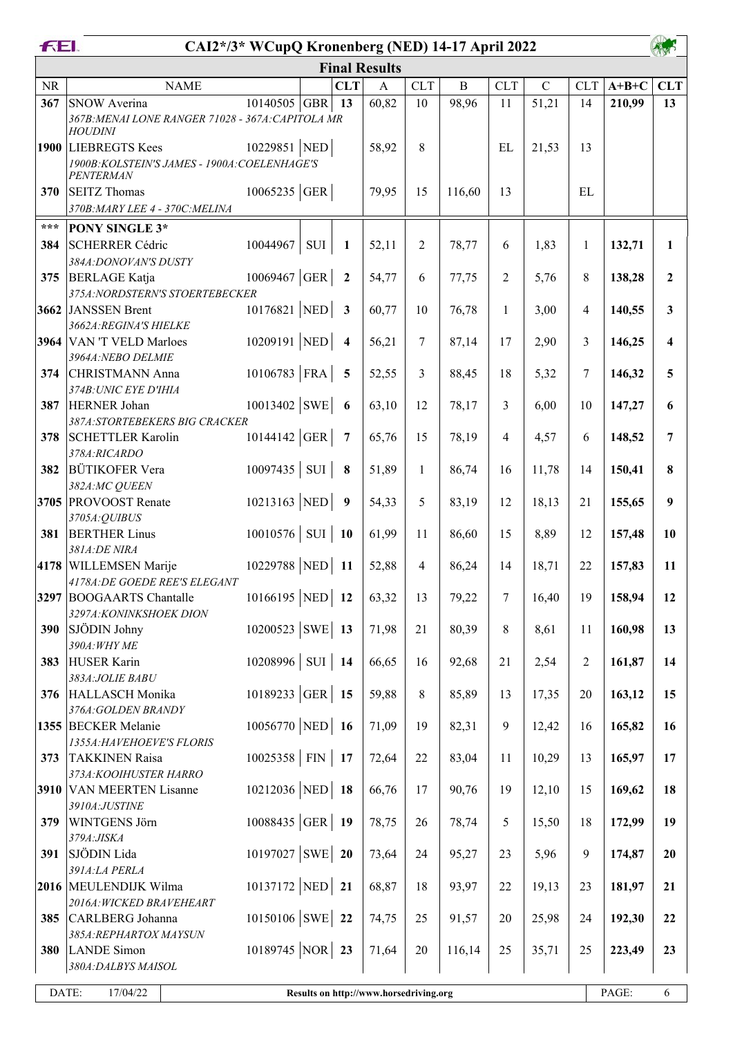| FEI.  | CAI2*/3* WCupQ Kronenberg (NED) 14-17 April 2022                                         |                   |                         |                                        |                |              |                |             |              |         |                         |
|-------|------------------------------------------------------------------------------------------|-------------------|-------------------------|----------------------------------------|----------------|--------------|----------------|-------------|--------------|---------|-------------------------|
|       |                                                                                          |                   |                         | <b>Final Results</b>                   |                |              |                |             |              |         |                         |
| NR    | <b>NAME</b>                                                                              |                   | <b>CLT</b>              | $\mathbf{A}$                           | <b>CLT</b>     | $\, {\bf B}$ | <b>CLT</b>     | $\mathbf C$ | <b>CLT</b>   | $A+B+C$ | <b>CLT</b>              |
| 367   | SNOW Averina<br>367B: MENAI LONE RANGER 71028 - 367A: CAPITOLA MR<br><b>HOUDINI</b>      | $10140505$ GBR    | 13                      | 60,82                                  | 10             | 98,96        | 11             | 51,21       | 14           | 210,99  | 13                      |
|       | 1900 LIEBREGTS Kees<br>1900B: KOLSTEIN'S JAMES - 1900A: COELENHAGE'S<br><b>PENTERMAN</b> | 10229851 NED      |                         | 58,92                                  | 8              |              | EL             | 21,53       | 13           |         |                         |
| 370   | <b>SEITZ</b> Thomas<br>370B: MARY LEE 4 - 370C: MELINA                                   | $10065235$ GER    |                         | 79,95                                  | 15             | 116,60       | 13             |             | EL           |         |                         |
| $***$ | PONY SINGLE 3*                                                                           |                   |                         |                                        |                |              |                |             |              |         |                         |
| 384   | SCHERRER Cédric<br>384A: DONOVAN'S DUSTY                                                 | 10044967<br>SUI   | 1                       | 52,11                                  | $\overline{2}$ | 78,77        | 6              | 1,83        | $\mathbf{1}$ | 132,71  | $\mathbf{1}$            |
| 375   | <b>BERLAGE</b> Katja<br>375A: NORDSTERN'S STOERTEBECKER                                  | $10069467$ GER    | $\overline{2}$          | 54,77                                  | 6              | 77,75        | $\overline{2}$ | 5,76        | 8            | 138,28  | $\overline{2}$          |
|       | 3662 JANSSEN Brent<br>3662A: REGINA'S HIELKE                                             | 10176821 NED      | $\overline{\mathbf{3}}$ | 60,77                                  | 10             | 76,78        | $\mathbf{1}$   | 3,00        | 4            | 140,55  | 3                       |
|       | 3964 VAN 'T VELD Marloes<br>3964A: NEBO DELMIE                                           | 10209191 NED      | $\overline{\mathbf{4}}$ | 56,21                                  | 7              | 87,14        | 17             | 2,90        | 3            | 146,25  | $\overline{\mathbf{4}}$ |
| 374   | CHRISTMANN Anna<br>374B: UNIC EYE D'IHIA                                                 | $10106783$ FRA    | 5                       | 52,55                                  | 3              | 88,45        | 18             | 5,32        | 7            | 146,32  | 5                       |
| 387   | HERNER Johan<br>387A: STORTEBEKERS BIG CRACKER                                           | 10013402 SWE      | - 6                     | 63,10                                  | 12             | 78,17        | 3              | 6,00        | 10           | 147,27  | 6                       |
| 378   | <b>SCHETTLER Karolin</b><br>378A:RICARDO                                                 | 10144142 GER      | $\overline{7}$          | 65,76                                  | 15             | 78,19        | $\overline{4}$ | 4,57        | 6            | 148,52  | $\overline{7}$          |
| 382   | <b>BÜTIKOFER Vera</b><br>382A:MC QUEEN                                                   | $10097435$ SUI    | 8                       | 51,89                                  | $\mathbf{1}$   | 86,74        | 16             | 11,78       | 14           | 150,41  | 8                       |
|       | 3705 PROVOOST Renate<br>3705A: QUIBUS                                                    | 10213163 NED      | 9                       | 54,33                                  | 5              | 83,19        | 12             | 18,13       | 21           | 155,65  | 9                       |
| 381   | <b>BERTHER Linus</b><br>381A:DE NIRA                                                     | $10010576$ SUI 10 |                         | 61,99                                  | 11             | 86,60        | 15             | 8,89        | 12           | 157,48  | 10                      |
|       | 4178 WILLEMSEN Marije                                                                    | 10229788 NED 11   |                         | 52,88                                  | 4              | 86,24        | 14             | 18,71       | 22           | 157,83  | 11                      |
|       | 4178A: DE GOEDE REE'S ELEGANT<br>3297 BOOGAARTS Chantalle                                | 10166195 NED 12   |                         | 63,32                                  | 13             | 79,22        | 7              | 16,40       | 19           | 158,94  | 12                      |
| 390   | 3297A: KONINKSHOEK DION<br>SJÖDIN Johny                                                  | $10200523$ SWE 13 |                         | 71,98                                  | 21             | 80,39        | 8              | 8,61        | 11           | 160,98  | 13                      |
| 383   | 390A: WHY ME<br>HUSER Karin                                                              | $10208996$ SUI 14 |                         | 66,65                                  | 16             | 92,68        | 21             | 2,54        | 2            | 161,87  | 14                      |
| 376   | 383A: JOLIE BABU<br>HALLASCH Monika                                                      | 10189233 GER 15   |                         | 59,88                                  | 8              | 85,89        | 13             | 17,35       | 20           | 163,12  | 15                      |
|       | 376A: GOLDEN BRANDY<br>1355 BECKER Melanie                                               | $10056770$ NED 16 |                         | 71,09                                  | 19             | 82,31        | 9              | 12,42       | 16           | 165,82  | 16                      |
| 373   | 1355A: HAVEHOEVE'S FLORIS<br><b>TAKKINEN Raisa</b>                                       | $10025358$ FIN 17 |                         | 72,64                                  | 22             | 83,04        | 11             | 10,29       | 13           | 165,97  | 17                      |
|       | 373A: KOOIHUSTER HARRO<br>3910 VAN MEERTEN Lisanne                                       | 10212036 NED 18   |                         | 66,76                                  | 17             | 90,76        | 19             | 12,10       | 15           | 169,62  | 18                      |
| 379   | 3910A:JUSTINE<br>WINTGENS Jörn                                                           | $10088435$ GER 19 |                         | 78,75                                  | 26             | 78,74        | 5              | 15,50       | 18           | 172,99  | 19                      |
| 391   | 379A: JISKA<br>SJÖDIN Lida                                                               | $10197027$ SWE 20 |                         | 73,64                                  | 24             | 95,27        | 23             | 5,96        | 9            | 174,87  | 20                      |
|       | 391A:LA PERLA<br>2016 MEULENDIJK Wilma                                                   | 10137172 NED 21   |                         | 68,87                                  | 18             | 93,97        | 22             | 19,13       | 23           | 181,97  | 21                      |
| 385   | 2016A: WICKED BRAVEHEART<br>CARLBERG Johanna                                             | $10150106$ SWE 22 |                         | 74,75                                  | 25             | 91,57        | 20             | 25,98       | 24           | 192,30  | 22                      |
| 380   | 385A: REPHARTOX MAYSUN<br>LANDE Simon<br>380A: DALBYS MAISOL                             | 10189745 NOR 23   |                         | 71,64                                  | 20             | 116,14       | 25             | 35,71       | 25           | 223,49  | 23                      |
|       |                                                                                          |                   |                         |                                        |                |              |                |             |              |         |                         |
| DATE: | 17/04/22                                                                                 |                   |                         | Results on http://www.horsedriving.org |                |              |                |             |              | PAGE:   | $6\,$                   |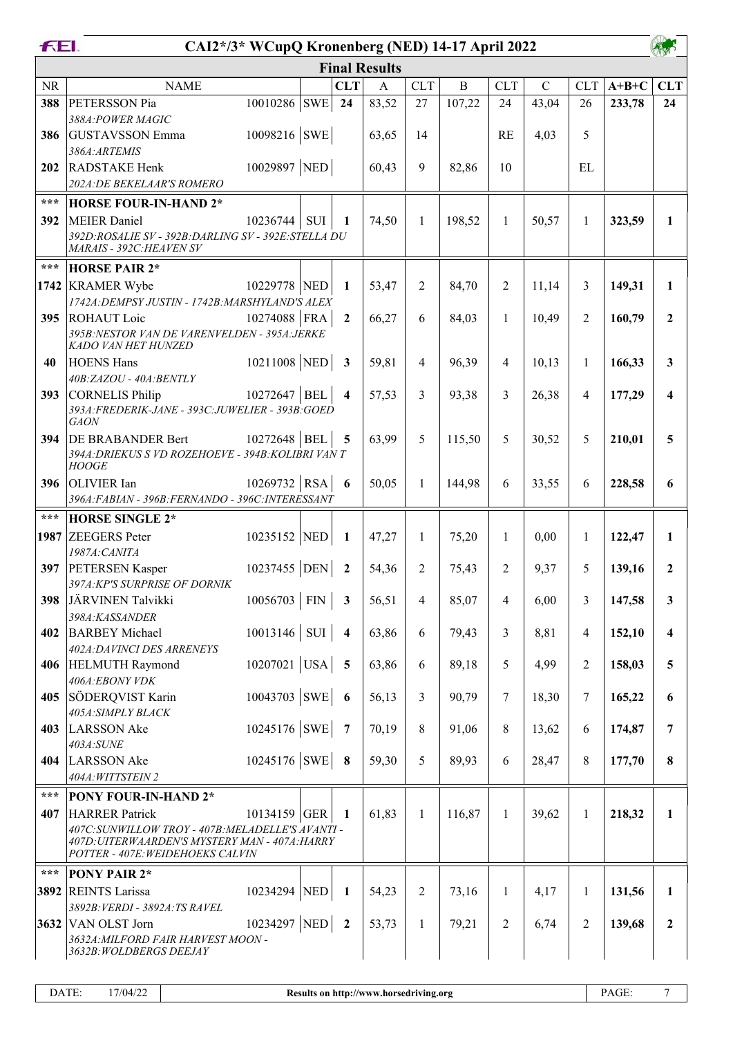| FEI.              | CAI2*/3* WCupQ Kronenberg (NED) 14-17 April 2022                                                                                        |                |     |                         |                      |                |                |                |             |                |         |                         |
|-------------------|-----------------------------------------------------------------------------------------------------------------------------------------|----------------|-----|-------------------------|----------------------|----------------|----------------|----------------|-------------|----------------|---------|-------------------------|
|                   |                                                                                                                                         |                |     |                         | <b>Final Results</b> |                |                |                |             |                |         |                         |
| <b>NR</b>         | <b>NAME</b>                                                                                                                             |                |     | <b>CLT</b>              | $\mathbf{A}$         | <b>CLT</b>     | $\overline{B}$ | <b>CLT</b>     | $\mathbf C$ | <b>CLT</b>     | $A+B+C$ | <b>CLT</b>              |
| 388               | PETERSSON Pia                                                                                                                           | 10010286 SWE   |     | 24                      | 83,52                | 27             | 107,22         | 24             | 43,04       | 26             | 233,78  | 24                      |
|                   | 388A: POWER MAGIC                                                                                                                       |                |     |                         |                      |                |                |                |             |                |         |                         |
| 386               | <b>GUSTAVSSON</b> Emma<br>386A:ARTEMIS                                                                                                  | 10098216 SWE   |     |                         | 63,65                | 14             |                | <b>RE</b>      | 4,03        | 5              |         |                         |
| 202               | <b>RADSTAKE Henk</b>                                                                                                                    | 10029897 NED   |     |                         | 60,43                | 9              | 82,86          | 10             |             | EL             |         |                         |
|                   | 202A: DE BEKELAAR'S ROMERO                                                                                                              |                |     |                         |                      |                |                |                |             |                |         |                         |
| $***$             | <b>HORSE FOUR-IN-HAND 2*</b>                                                                                                            |                |     |                         |                      |                |                |                |             |                |         |                         |
| 392               | MEIER Daniel                                                                                                                            | 10236744       | SUI | $\mathbf{1}$            | 74,50                | $\mathbf{1}$   | 198,52         | $\mathbf{1}$   | 50,57       | $\mathbf{1}$   | 323,59  | $\mathbf{1}$            |
|                   | 392D: ROSALIE SV - 392B: DARLING SV - 392E: STELLA DU<br>MARAIS - 392C: HEAVEN SV                                                       |                |     |                         |                      |                |                |                |             |                |         |                         |
| $***$             | <b>HORSE PAIR 2*</b>                                                                                                                    |                |     |                         |                      |                |                |                |             |                |         |                         |
|                   | 1742 KRAMER Wybe                                                                                                                        | 10229778 NED   |     | 1                       | 53,47                | $\overline{2}$ | 84,70          | $\overline{2}$ | 11,14       | 3              | 149,31  | 1                       |
|                   | 1742A: DEMPSY JUSTIN - 1742B: MARSHYLAND'S ALEX                                                                                         |                |     |                         |                      |                |                |                |             |                |         |                         |
| 395               | <b>ROHAUT</b> Loic                                                                                                                      | 10274088 FRA   |     | $\overline{2}$          | 66,27                | 6              | 84,03          | 1              | 10,49       | $\overline{2}$ | 160,79  | $\boldsymbol{2}$        |
|                   | 395B:NESTOR VAN DE VARENVELDEN - 395A:JERKE<br>KADO VAN HET HUNZED                                                                      |                |     |                         |                      |                |                |                |             |                |         |                         |
| 40                | <b>HOENS Hans</b>                                                                                                                       | 10211008 NED   |     | $\overline{\mathbf{3}}$ | 59,81                | $\overline{4}$ | 96,39          | 4              | 10,13       | $\mathbf{1}$   | 166,33  | 3                       |
|                   | 40B:ZAZOU - 40A:BENTLY                                                                                                                  |                |     |                         |                      |                |                |                |             |                |         |                         |
| 393               | CORNELIS Philip<br>393A: FREDERIK-JANE - 393C: JUWELIER - 393B: GOED                                                                    | 10272647 BEL   |     | $\overline{\mathbf{4}}$ | 57,53                | $\overline{3}$ | 93,38          | 3              | 26,38       | 4              | 177,29  | 4                       |
|                   | <b>GAON</b>                                                                                                                             |                |     |                         |                      |                |                |                |             |                |         |                         |
| 394               | <b>DE BRABANDER Bert</b>                                                                                                                | 10272648 BEL   |     | 5                       | 63,99                | 5              | 115,50         | 5              | 30,52       | 5              | 210,01  | 5                       |
|                   | 394A: DRIEKUS S VD ROZEHOEVE - 394B: KOLIBRI VAN T<br><b>HOOGE</b>                                                                      |                |     |                         |                      |                |                |                |             |                |         |                         |
| 396               | <b>OLIVIER</b> Ian                                                                                                                      | $10269732$ RSA |     | - 6                     | 50,05                | $\mathbf{1}$   | 144,98         | 6              | 33,55       | 6              | 228,58  | 6                       |
|                   | 396A: FABIAN - 396B: FERNANDO - 396C: INTERESSANT                                                                                       |                |     |                         |                      |                |                |                |             |                |         |                         |
| $***$             | <b>HORSE SINGLE 2*</b>                                                                                                                  |                |     |                         |                      |                |                |                |             |                |         |                         |
|                   | 1987 ZEEGERS Peter                                                                                                                      | 10235152 NED   |     | $\mathbf{1}$            | 47,27                | $\mathbf{1}$   | 75,20          | 1              | 0,00        | 1              | 122,47  | 1                       |
| 397               | 1987A: CANITA<br><b>PETERSEN Kasper</b>                                                                                                 | 10237455 DEN   |     | $\overline{2}$          | 54,36                | 2              | 75,43          | 2              | 9,37        | 5              | 139,16  | $\mathbf{2}$            |
|                   | 397A:KP'S SURPRISE OF DORNIK                                                                                                            |                |     |                         |                      |                |                |                |             |                |         |                         |
| 398               | JÄRVINEN Talvikki                                                                                                                       | $10056703$ FIN |     | 3                       | 56,51                | $\overline{4}$ | 85,07          | 4              | 6,00        | 3              | 147,58  | 3                       |
|                   | 398A:KASSANDER                                                                                                                          |                |     |                         |                      |                |                |                |             |                |         |                         |
| 402               | <b>BARBEY Michael</b><br>402A: DAVINCI DES ARRENEYS                                                                                     | $10013146$ SUI |     | $\overline{\mathbf{4}}$ | 63,86                | 6              | 79,43          | 3              | 8,81        | $\overline{4}$ | 152,10  | $\overline{\mathbf{4}}$ |
| 406               | <b>HELMUTH Raymond</b>                                                                                                                  | $10207021$ USA |     | $\overline{5}$          | 63,86                | 6              | 89,18          | 5              | 4,99        | 2              | 158,03  | 5                       |
|                   | 406A:EBONY VDK                                                                                                                          |                |     |                         |                      |                |                |                |             |                |         |                         |
| 405               | SÖDERQVIST Karin                                                                                                                        | 10043703 SWE   |     | 6                       | 56,13                | $\overline{3}$ | 90,79          | 7              | 18,30       | 7              | 165,22  | 6                       |
| 403               | 405A: SIMPLY BLACK<br>LARSSON Ake                                                                                                       | 10245176 SWE   |     | $\overline{7}$          | 70,19                | $\,8\,$        | 91,06          | 8              | 13,62       | 6              |         | $\overline{7}$          |
|                   | 403A:SUNE                                                                                                                               |                |     |                         |                      |                |                |                |             |                | 174,87  |                         |
| 404               | LARSSON Ake                                                                                                                             | 10245176 SWE   |     | $\bf8$                  | 59,30                | 5              | 89,93          | 6              | 28,47       | 8              | 177,70  | 8                       |
|                   | 404A: WITTSTEIN 2                                                                                                                       |                |     |                         |                      |                |                |                |             |                |         |                         |
| $\star\star\star$ | <b>PONY FOUR-IN-HAND 2*</b>                                                                                                             |                |     |                         |                      |                |                |                |             |                |         |                         |
| 407               | <b>HARRER Patrick</b>                                                                                                                   | 10134159 GER   |     | -1                      | 61,83                | $\mathbf{1}$   | 116,87         | 1              | 39,62       | $\mathbf{1}$   | 218,32  | $\mathbf{1}$            |
|                   | 407C: SUNWILLOW TROY - 407B: MELADELLE'S AVANTI -<br>407D: UITERWAARDEN'S MYSTERY MAN - 407A: HARRY<br>POTTER - 407E: WEIDEHOEKS CALVIN |                |     |                         |                      |                |                |                |             |                |         |                         |
| $***$             | <b>PONY PAIR 2*</b>                                                                                                                     |                |     |                         |                      |                |                |                |             |                |         |                         |
|                   | 3892 REINTS Larissa                                                                                                                     | 10234294 NED   |     | 1                       | 54,23                | $\overline{2}$ | 73,16          | 1              | 4,17        | 1              | 131,56  | 1                       |
|                   | 3892B: VERDI - 3892A: TS RAVEL                                                                                                          |                |     |                         |                      |                |                |                |             |                |         |                         |
|                   | 3632 VAN OLST Jorn<br>3632A: MILFORD FAIR HARVEST MOON -                                                                                | 10234297 NED   |     | $\overline{\mathbf{2}}$ | 53,73                | $\mathbf{1}$   | 79,21          | $\overline{2}$ | 6,74        | 2              | 139,68  | $\overline{2}$          |
|                   | 3632B: WOLDBERGS DEEJAY                                                                                                                 |                |     |                         |                      |                |                |                |             |                |         |                         |